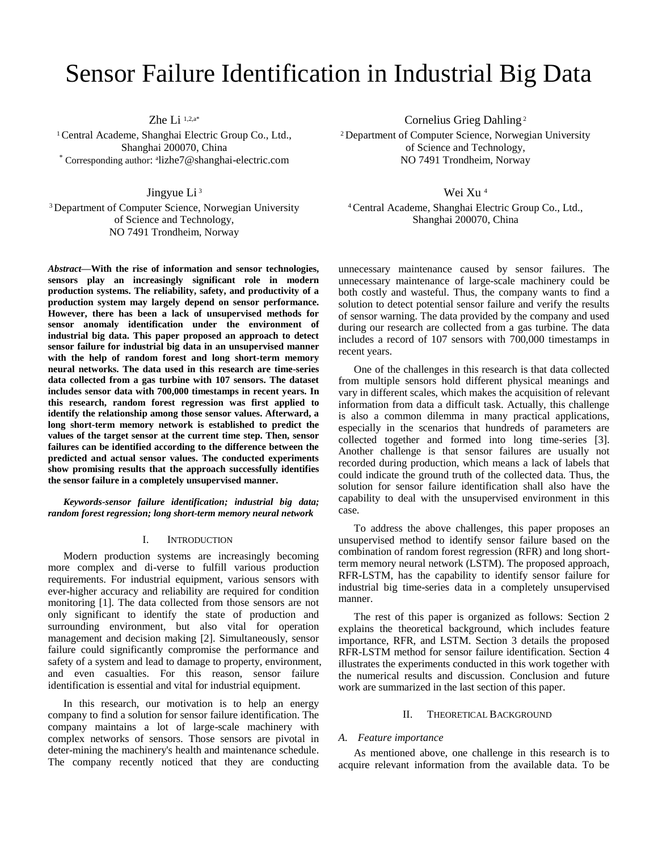# Sensor Failure Identification in Industrial Big Data

Zhe Li 1,2,a\*

<sup>1</sup> Central Academe, Shanghai Electric Group Co., Ltd., Shanghai 200070, China \* Corresponding author: <sup>a</sup> lizhe7@shanghai-electric.com

Jingyue Li <sup>3</sup>

<sup>3</sup>Department of Computer Science, Norwegian University of Science and Technology, NO 7491 Trondheim, Norway

*Abstract***—With the rise of information and sensor technologies, sensors play an increasingly significant role in modern production systems. The reliability, safety, and productivity of a production system may largely depend on sensor performance. However, there has been a lack of unsupervised methods for sensor anomaly identification under the environment of industrial big data. This paper proposed an approach to detect sensor failure for industrial big data in an unsupervised manner with the help of random forest and long short-term memory neural networks. The data used in this research are time-series data collected from a gas turbine with 107 sensors. The dataset includes sensor data with 700,000 timestamps in recent years. In this research, random forest regression was first applied to identify the relationship among those sensor values. Afterward, a long short-term memory network is established to predict the values of the target sensor at the current time step. Then, sensor failures can be identified according to the difference between the predicted and actual sensor values. The conducted experiments show promising results that the approach successfully identifies the sensor failure in a completely unsupervised manner.**

*Keywords-sensor failure identification; industrial big data; random forest regression; long short-term memory neural network*

# I. INTRODUCTION

Modern production systems are increasingly becoming more complex and di-verse to fulfill various production requirements. For industrial equipment, various sensors with ever-higher accuracy and reliability are required for condition monitoring [1]. The data collected from those sensors are not only significant to identify the state of production and surrounding environment, but also vital for operation management and decision making [2]. Simultaneously, sensor failure could significantly compromise the performance and safety of a system and lead to damage to property, environment, and even casualties. For this reason, sensor failure identification is essential and vital for industrial equipment.

In this research, our motivation is to help an energy company to find a solution for sensor failure identification. The company maintains a lot of large-scale machinery with complex networks of sensors. Those sensors are pivotal in deter-mining the machinery's health and maintenance schedule. The company recently noticed that they are conducting Cornelius Grieg Dahling <sup>2</sup>

<sup>2</sup>Department of Computer Science, Norwegian University of Science and Technology, NO 7491 Trondheim, Norway

Wei Xu <sup>4</sup>

<sup>4</sup>Central Academe, Shanghai Electric Group Co., Ltd., Shanghai 200070, China

unnecessary maintenance caused by sensor failures. The unnecessary maintenance of large-scale machinery could be both costly and wasteful. Thus, the company wants to find a solution to detect potential sensor failure and verify the results of sensor warning. The data provided by the company and used during our research are collected from a gas turbine. The data includes a record of 107 sensors with 700,000 timestamps in recent years.

One of the challenges in this research is that data collected from multiple sensors hold different physical meanings and vary in different scales, which makes the acquisition of relevant information from data a difficult task. Actually, this challenge is also a common dilemma in many practical applications, especially in the scenarios that hundreds of parameters are collected together and formed into long time-series [3]. Another challenge is that sensor failures are usually not recorded during production, which means a lack of labels that could indicate the ground truth of the collected data. Thus, the solution for sensor failure identification shall also have the capability to deal with the unsupervised environment in this case.

To address the above challenges, this paper proposes an unsupervised method to identify sensor failure based on the combination of random forest regression (RFR) and long shortterm memory neural network (LSTM). The proposed approach, RFR-LSTM, has the capability to identify sensor failure for industrial big time-series data in a completely unsupervised manner.

The rest of this paper is organized as follows: Section 2 explains the theoretical background, which includes feature importance, RFR, and LSTM. Section 3 details the proposed RFR-LSTM method for sensor failure identification. Section 4 illustrates the experiments conducted in this work together with the numerical results and discussion. Conclusion and future work are summarized in the last section of this paper.

#### II. THEORETICAL BACKGROUND

## *A. Feature importance*

As mentioned above, one challenge in this research is to acquire relevant information from the available data. To be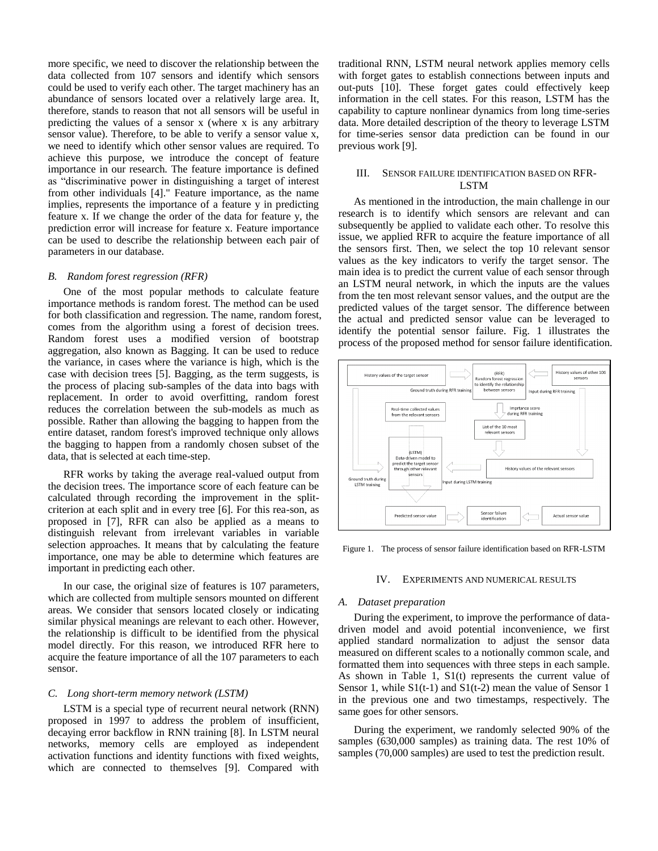more specific, we need to discover the relationship between the data collected from 107 sensors and identify which sensors could be used to verify each other. The target machinery has an abundance of sensors located over a relatively large area. It, therefore, stands to reason that not all sensors will be useful in predicting the values of a sensor x (where x is any arbitrary sensor value). Therefore, to be able to verify a sensor value x, we need to identify which other sensor values are required. To achieve this purpose, we introduce the concept of feature importance in our research. The feature importance is defined as "discriminative power in distinguishing a target of interest from other individuals [4]." Feature importance, as the name implies, represents the importance of a feature y in predicting feature x. If we change the order of the data for feature y, the prediction error will increase for feature x. Feature importance can be used to describe the relationship between each pair of parameters in our database.

# *B. Random forest regression (RFR)*

One of the most popular methods to calculate feature importance methods is random forest. The method can be used for both classification and regression. The name, random forest, comes from the algorithm using a forest of decision trees. Random forest uses a modified version of bootstrap aggregation, also known as Bagging. It can be used to reduce the variance, in cases where the variance is high, which is the case with decision trees [5]. Bagging, as the term suggests, is the process of placing sub-samples of the data into bags with replacement. In order to avoid overfitting, random forest reduces the correlation between the sub-models as much as possible. Rather than allowing the bagging to happen from the entire dataset, random forest's improved technique only allows the bagging to happen from a randomly chosen subset of the data, that is selected at each time-step.

RFR works by taking the average real-valued output from the decision trees. The importance score of each feature can be calculated through recording the improvement in the splitcriterion at each split and in every tree [6]. For this rea-son, as proposed in [7], RFR can also be applied as a means to distinguish relevant from irrelevant variables in variable selection approaches. It means that by calculating the feature importance, one may be able to determine which features are important in predicting each other.

In our case, the original size of features is 107 parameters, which are collected from multiple sensors mounted on different areas. We consider that sensors located closely or indicating similar physical meanings are relevant to each other. However, the relationship is difficult to be identified from the physical model directly. For this reason, we introduced RFR here to acquire the feature importance of all the 107 parameters to each sensor.

#### *C. Long short-term memory network (LSTM)*

LSTM is a special type of recurrent neural network (RNN) proposed in 1997 to address the problem of insufficient, decaying error backflow in RNN training [8]. In LSTM neural networks, memory cells are employed as independent activation functions and identity functions with fixed weights, which are connected to themselves [9]. Compared with

traditional RNN, LSTM neural network applies memory cells with forget gates to establish connections between inputs and out-puts [10]. These forget gates could effectively keep information in the cell states. For this reason, LSTM has the capability to capture nonlinear dynamics from long time-series data. More detailed description of the theory to leverage LSTM for time-series sensor data prediction can be found in our previous work [9].

# III. SENSOR FAILURE IDENTIFICATION BASED ON RFR-LSTM

As mentioned in the introduction, the main challenge in our research is to identify which sensors are relevant and can subsequently be applied to validate each other. To resolve this issue, we applied RFR to acquire the feature importance of all the sensors first. Then, we select the top 10 relevant sensor values as the key indicators to verify the target sensor. The main idea is to predict the current value of each sensor through an LSTM neural network, in which the inputs are the values from the ten most relevant sensor values, and the output are the predicted values of the target sensor. The difference between the actual and predicted sensor value can be leveraged to identify the potential sensor failure. Fig. 1 illustrates the process of the proposed method for sensor failure identification.



Figure 1. The process of sensor failure identification based on RFR-LSTM

## IV. EXPERIMENTS AND NUMERICAL RESULTS

#### *A. Dataset preparation*

During the experiment, to improve the performance of datadriven model and avoid potential inconvenience, we first applied standard normalization to adjust the sensor data measured on different scales to a notionally common scale, and formatted them into sequences with three steps in each sample. As shown in Table 1, S1(t) represents the current value of Sensor 1, while  $S1(t-1)$  and  $S1(t-2)$  mean the value of Sensor 1 in the previous one and two timestamps, respectively. The same goes for other sensors.

During the experiment, we randomly selected 90% of the samples (630,000 samples) as training data. The rest 10% of samples (70,000 samples) are used to test the prediction result.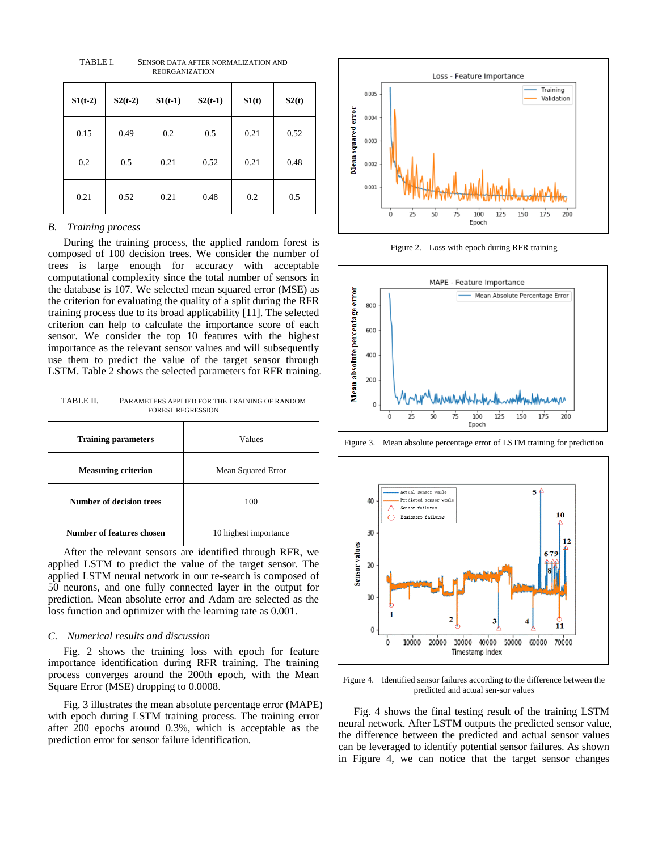$S1(t-2)$   $S2(t-2)$   $S1(t-1)$   $S2(t-1)$   $S1(t)$   $S2(t)$ 0.15 0.49 0.2 0.5 0.21 0.52 0.2 0.5 0.21 0.52 0.21 0.48 0.21 0.52 0.21 0.48 0.2 0.5

TABLE I. SENSOR DATA AFTER NORMALIZATION AND REORGANIZATION

#### *B. Training process*

During the training process, the applied random forest is composed of 100 decision trees. We consider the number of trees is large enough for accuracy with acceptable computational complexity since the total number of sensors in the database is 107. We selected mean squared error (MSE) as the criterion for evaluating the quality of a split during the RFR training process due to its broad applicability [11]. The selected criterion can help to calculate the importance score of each sensor. We consider the top 10 features with the highest importance as the relevant sensor values and will subsequently use them to predict the value of the target sensor through LSTM. Table 2 shows the selected parameters for RFR training.

TABLE II. PARAMETERS APPLIED FOR THE TRAINING OF RANDOM FOREST REGRESSION

| <b>Training parameters</b> | Values                |
|----------------------------|-----------------------|
| <b>Measuring criterion</b> | Mean Squared Error    |
| Number of decision trees   | 100                   |
| Number of features chosen  | 10 highest importance |

After the relevant sensors are identified through RFR, we applied LSTM to predict the value of the target sensor. The applied LSTM neural network in our re-search is composed of 50 neurons, and one fully connected layer in the output for prediction. Mean absolute error and Adam are selected as the loss function and optimizer with the learning rate as 0.001.

# *C. Numerical results and discussion*

Fig. 2 shows the training loss with epoch for feature importance identification during RFR training. The training process converges around the 200th epoch, with the Mean Square Error (MSE) dropping to 0.0008.

Fig. 3 illustrates the mean absolute percentage error (MAPE) with epoch during LSTM training process. The training error after 200 epochs around 0.3%, which is acceptable as the prediction error for sensor failure identification.



Figure 2. Loss with epoch during RFR training



Figure 3. Mean absolute percentage error of LSTM training for prediction



Figure 4. Identified sensor failures according to the difference between the predicted and actual sen-sor values

Fig. 4 shows the final testing result of the training LSTM neural network. After LSTM outputs the predicted sensor value, the difference between the predicted and actual sensor values can be leveraged to identify potential sensor failures. As shown in Figure 4, we can notice that the target sensor changes